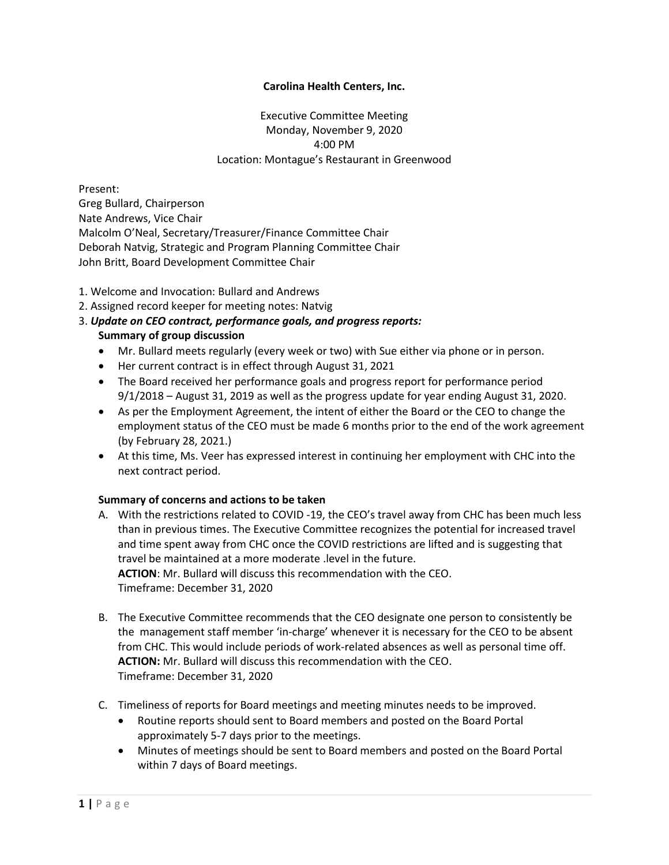## **Carolina Health Centers, Inc.**

Executive Committee Meeting Monday, November 9, 2020 4:00 PM Location: Montague's Restaurant in Greenwood

Present: Greg Bullard, Chairperson Nate Andrews, Vice Chair Malcolm O'Neal, Secretary/Treasurer/Finance Committee Chair Deborah Natvig, Strategic and Program Planning Committee Chair John Britt, Board Development Committee Chair

- 1. Welcome and Invocation: Bullard and Andrews
- 2. Assigned record keeper for meeting notes: Natvig
- 3. *Update on CEO contract, performance goals, and progress reports:* **Summary of group discussion**
	- Mr. Bullard meets regularly (every week or two) with Sue either via phone or in person.
	- Her current contract is in effect through August 31, 2021
	- The Board received her performance goals and progress report for performance period 9/1/2018 – August 31, 2019 as well as the progress update for year ending August 31, 2020.
	- As per the Employment Agreement, the intent of either the Board or the CEO to change the employment status of the CEO must be made 6 months prior to the end of the work agreement (by February 28, 2021.)
	- At this time, Ms. Veer has expressed interest in continuing her employment with CHC into the next contract period.

## **Summary of concerns and actions to be taken**

- A. With the restrictions related to COVID -19, the CEO's travel away from CHC has been much less than in previous times. The Executive Committee recognizes the potential for increased travel and time spent away from CHC once the COVID restrictions are lifted and is suggesting that travel be maintained at a more moderate .level in the future. **ACTION**: Mr. Bullard will discuss this recommendation with the CEO. Timeframe: December 31, 2020
- B. The Executive Committee recommends that the CEO designate one person to consistently be the management staff member 'in-charge' whenever it is necessary for the CEO to be absent from CHC. This would include periods of work-related absences as well as personal time off. **ACTION:** Mr. Bullard will discuss this recommendation with the CEO. Timeframe: December 31, 2020
- C. Timeliness of reports for Board meetings and meeting minutes needs to be improved.
	- Routine reports should sent to Board members and posted on the Board Portal approximately 5-7 days prior to the meetings.
	- Minutes of meetings should be sent to Board members and posted on the Board Portal within 7 days of Board meetings.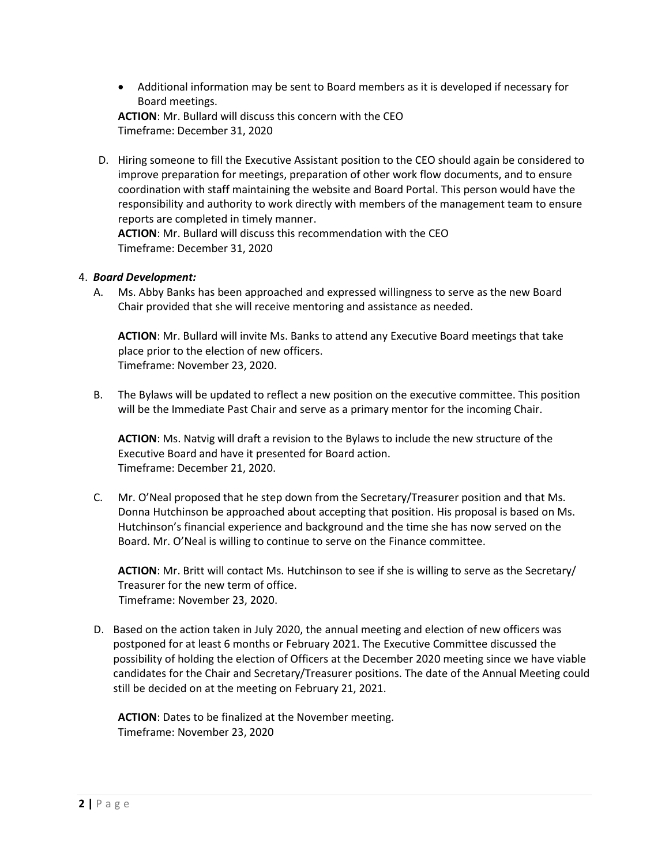Additional information may be sent to Board members as it is developed if necessary for Board meetings.

**ACTION**: Mr. Bullard will discuss this concern with the CEO Timeframe: December 31, 2020

D. Hiring someone to fill the Executive Assistant position to the CEO should again be considered to improve preparation for meetings, preparation of other work flow documents, and to ensure coordination with staff maintaining the website and Board Portal. This person would have the responsibility and authority to work directly with members of the management team to ensure reports are completed in timely manner.

**ACTION**: Mr. Bullard will discuss this recommendation with the CEO Timeframe: December 31, 2020

## 4. *Board Development:*

A. Ms. Abby Banks has been approached and expressed willingness to serve as the new Board Chair provided that she will receive mentoring and assistance as needed.

**ACTION**: Mr. Bullard will invite Ms. Banks to attend any Executive Board meetings that take place prior to the election of new officers. Timeframe: November 23, 2020.

B. The Bylaws will be updated to reflect a new position on the executive committee. This position will be the Immediate Past Chair and serve as a primary mentor for the incoming Chair.

**ACTION**: Ms. Natvig will draft a revision to the Bylaws to include the new structure of the Executive Board and have it presented for Board action. Timeframe: December 21, 2020.

C. Mr. O'Neal proposed that he step down from the Secretary/Treasurer position and that Ms. Donna Hutchinson be approached about accepting that position. His proposal is based on Ms. Hutchinson's financial experience and background and the time she has now served on the Board. Mr. O'Neal is willing to continue to serve on the Finance committee.

**ACTION**: Mr. Britt will contact Ms. Hutchinson to see if she is willing to serve as the Secretary/ Treasurer for the new term of office. Timeframe: November 23, 2020.

D. Based on the action taken in July 2020, the annual meeting and election of new officers was postponed for at least 6 months or February 2021. The Executive Committee discussed the possibility of holding the election of Officers at the December 2020 meeting since we have viable candidates for the Chair and Secretary/Treasurer positions. The date of the Annual Meeting could still be decided on at the meeting on February 21, 2021.

**ACTION**: Dates to be finalized at the November meeting. Timeframe: November 23, 2020